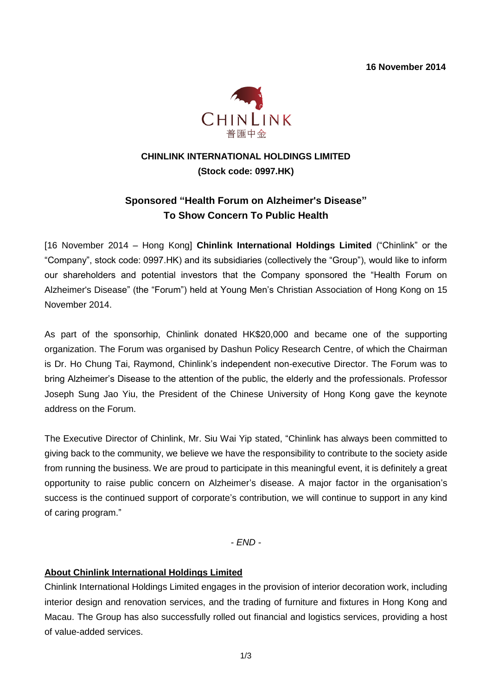**16 November 2014**



# **CHINLINK INTERNATIONAL HOLDINGS LIMITED (Stock code: 0997.HK)**

# **Sponsored "Health Forum on Alzheimer's Disease" To Show Concern To Public Health**

[16 November 2014 – Hong Kong] **Chinlink International Holdings Limited** ("Chinlink" or the "Company", stock code: 0997.HK) and its subsidiaries (collectively the "Group"), would like to inform our shareholders and potential investors that the Company sponsored the "Health Forum on Alzheimer's Disease" (the "Forum") held at Young Men's Christian Association of Hong Kong on 15 November 2014.

As part of the sponsorhip, Chinlink donated HK\$20,000 and became one of the supporting organization. The Forum was organised by Dashun Policy Research Centre, of which the Chairman is Dr. Ho Chung Tai, Raymond, Chinlink's independent non-executive Director. The Forum was to bring Alzheimer's Disease to the attention of the public, the elderly and the professionals. Professor Joseph Sung Jao Yiu, the President of the Chinese University of Hong Kong gave the keynote address on the Forum.

The Executive Director of Chinlink, Mr. Siu Wai Yip stated, "Chinlink has always been committed to giving back to the community, we believe we have the responsibility to contribute to the society aside from running the business. We are proud to participate in this meaningful event, it is definitely a great opportunity to raise public concern on Alzheimer's disease. A major factor in the organisation's success is the continued support of corporate's contribution, we will continue to support in any kind of caring program."

*- END -*

#### **About Chinlink International Holdings Limited**

Chinlink International Holdings Limited engages in the provision of interior decoration work, including interior design and renovation services, and the trading of furniture and fixtures in Hong Kong and Macau. The Group has also successfully rolled out financial and logistics services, providing a host of value-added services.